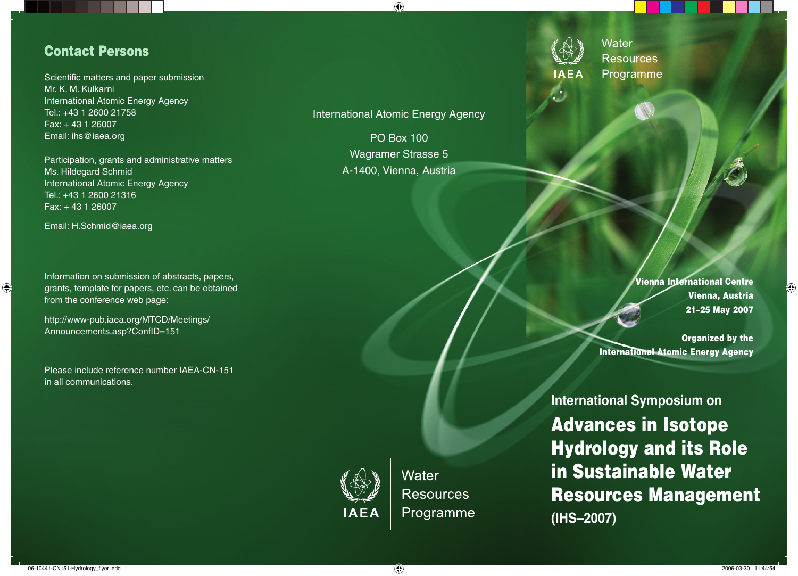# **Contact Persons**

Scientific matters and paper submission Mr. K. M. Kulkarni International Atomic Energy Agency Tel.: +43 1 2600 21758 Fax: + 43 1 26007 Email: ihs@iaea.org

Participation, grants and administrative matters Ms. Hildegard Schmid International Atomic Energy Agency Tel.: +43 1 2600 21316 Fax: + 43 1 26007

Email: H.Schmid@iaea.org

 $\bigcirc$ 

Information on submission of abstracts, papers, grants, template for papers, etc. can be obtained from the conference web page:

http://www-pub.iaea.org/MTCD/Meetings/ Announcements.asp?ConfID=151

Please include reference number IAEA-CN-151 in all communications.

International Atomic Energy Agency

 $\bigoplus$ 

PO Box 100 Wagramer Strasse 5 A-1400, Vienna, Austria



Water **Resources** Programme

> **Vienna International Centre Vienna, Austria 21–25 May 2007**

◈

**Organized by the International Atomic Energy Agency**

**IAEA** 

Water **Resources** Programme **International Symposium on Advances in Isotope Hydrology and its Role in Sustainable Water Resources Management (IHS–2007)**